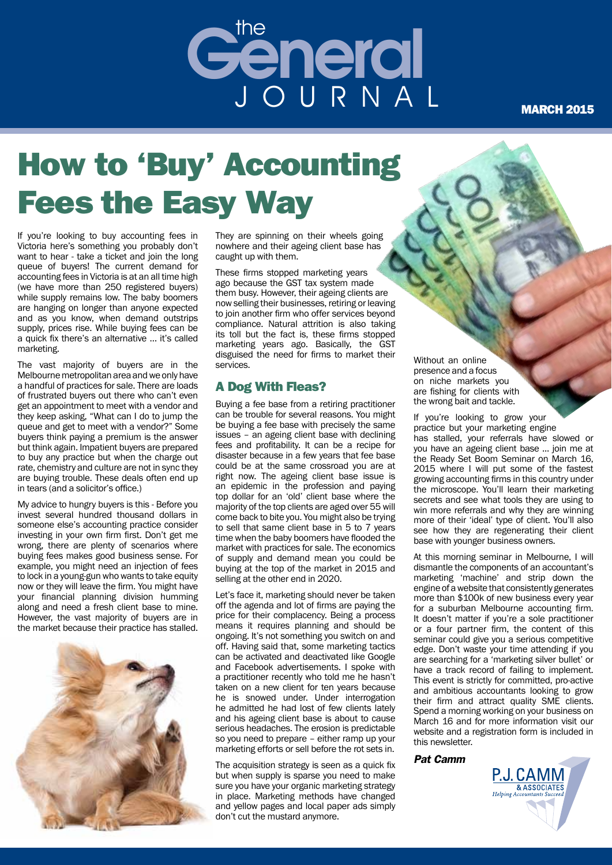

#### **MARCH 2015**

## How to 'Buy' Accounting Fees the Easy Way

If you're looking to buy accounting fees in Victoria here's something you probably don't want to hear - take a ticket and join the long queue of buyers! The current demand for accounting fees in Victoria is at an all time high (we have more than 250 registered buyers) while supply remains low. The baby boomers are hanging on longer than anyone expected and as you know, when demand outstrips supply, prices rise. While buying fees can be a quick fix there's an alternative … it's called marketing.

The vast majority of buyers are in the Melbourne metropolitan area and we only have a handful of practices for sale. There are loads of frustrated buyers out there who can't even get an appointment to meet with a vendor and they keep asking, "What can I do to jump the queue and get to meet with a vendor?" Some buyers think paying a premium is the answer but think again. Impatient buyers are prepared to buy any practice but when the charge out rate, chemistry and culture are not in sync they are buying trouble. These deals often end up in tears (and a solicitor's office.)

My advice to hungry buyers is this - Before you invest several hundred thousand dollars in someone else's accounting practice consider investing in your own firm first. Don't get me wrong, there are plenty of scenarios where buying fees makes good business sense. For example, you might need an injection of fees to lock in a young-gun who wants to take equity now or they will leave the firm. You might have your financial planning division humming along and need a fresh client base to mine. However, the vast majority of buyers are in the market because their practice has stalled.



They are spinning on their wheels going nowhere and their ageing client base has caught up with them.

These firms stopped marketing years ago because the GST tax system made them busy. However, their ageing clients are now selling their businesses, retiring or leaving to join another firm who offer services beyond compliance. Natural attrition is also taking its toll but the fact is, these firms stopped marketing years ago. Basically, the GST disguised the need for firms to market their services.

#### A Dog With Fleas?

Buying a fee base from a retiring practitioner can be trouble for several reasons. You might be buying a fee base with precisely the same issues – an ageing client base with declining fees and profitability. It can be a recipe for disaster because in a few years that fee base could be at the same crossroad you are at right now. The ageing client base issue is an epidemic in the profession and paying top dollar for an 'old' client base where the majority of the top clients are aged over 55 will come back to bite you. You might also be trying to sell that same client base in 5 to 7 years time when the baby boomers have flooded the market with practices for sale. The economics of supply and demand mean you could be buying at the top of the market in 2015 and selling at the other end in 2020.

Let's face it, marketing should never be taken off the agenda and lot of firms are paying the price for their complacency. Being a process means it requires planning and should be ongoing. It's not something you switch on and off. Having said that, some marketing tactics can be activated and deactivated like Google and Facebook advertisements. I spoke with a practitioner recently who told me he hasn't taken on a new client for ten years because he is snowed under. Under interrogation he admitted he had lost of few clients lately and his ageing client base is about to cause serious headaches. The erosion is predictable so you need to prepare – either ramp up your marketing efforts or sell before the rot sets in.

The acquisition strategy is seen as a quick fix but when supply is sparse you need to make sure you have your organic marketing strategy in place. Marketing methods have changed and yellow pages and local paper ads simply don't cut the mustard anymore.

Without an online presence and a focus on niche markets you are fishing for clients with the wrong bait and tackle.

If you're looking to grow your practice but your marketing engine has stalled, your referrals have slowed or you have an ageing client base ... join me at the Ready Set Boom Seminar on March 16, 2015 where I will put some of the fastest growing accounting firms in this country under the microscope. You'll learn their marketing secrets and see what tools they are using to win more referrals and why they are winning more of their 'ideal' type of client. You'll also see how they are regenerating their client base with younger business owners.

At this morning seminar in Melbourne, I will dismantle the components of an accountant's marketing 'machine' and strip down the engine of a website that consistently generates more than \$100k of new business every year for a suburban Melbourne accounting firm. It doesn't matter if you're a sole practitioner or a four partner firm, the content of this seminar could give you a serious competitive edge. Don't waste your time attending if you are searching for a 'marketing silver bullet' or have a track record of failing to implement. This event is strictly for committed, pro-active and ambitious accountants looking to grow their firm and attract quality SME clients. Spend a morning working on your business on March 16 and for more information visit our website and a registration form is included in this newsletter.

*Pat Camm* 

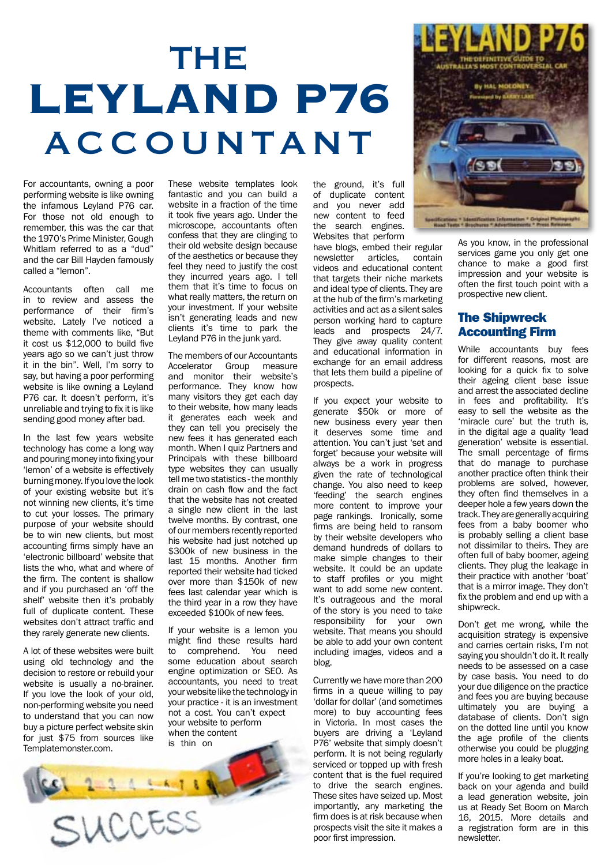## THE **LEYLAND P76**  ACCOUNTANT

For accountants, owning a poor performing website is like owning the infamous Leyland P76 car. For those not old enough to remember, this was the car that the 1970's Prime Minister, Gough Whitlam referred to as a "dud" and the car Bill Hayden famously called a "lemon".

Accountants often call me in to review and assess the performance of their firm's website. Lately I've noticed a theme with comments like, "But it cost us \$12,000 to build five years ago so we can't just throw it in the bin". Well, I'm sorry to say, but having a poor performing website is like owning a Leyland P76 car. It doesn't perform, it's unreliable and trying to fix it is like sending good money after bad.

In the last few years website technology has come a long way and pouring money into fixing your 'lemon' of a website is effectively burning money. If you love the look of your existing website but it's not winning new clients, it's time to cut your losses. The primary purpose of your website should be to win new clients, but most accounting firms simply have an 'electronic billboard' website that lists the who, what and where of the firm. The content is shallow and if you purchased an 'off the shelf' website then it's probably full of duplicate content. These websites don't attract traffic and they rarely generate new clients.

A lot of these websites were built using old technology and the decision to restore or rebuild your website is usually a no-brainer. If you love the look of your old, non-performing website you need to understand that you can now buy a picture perfect website skin for just \$75 from sources like Templatemonster.com.

 $2 - 3 - 4 - 4 - 1 + 4$ 

SUCCESS

These website templates look fantastic and you can build a website in a fraction of the time it took five years ago. Under the microscope, accountants often confess that they are clinging to their old website design because of the aesthetics or because they feel they need to justify the cost they incurred years ago. I tell them that it's time to focus on what really matters, the return on your investment. If your website isn't generating leads and new clients it's time to park the Leyland P76 in the junk vard.

The members of our Accountants Accelerator Group measure and monitor their website's performance. They know how many visitors they get each day to their website, how many leads it generates each week and they can tell you precisely the new fees it has generated each month. When I quiz Partners and Principals with these billboard type websites they can usually tell me two statistics - the monthly drain on cash flow and the fact that the website has not created a single new client in the last twelve months. By contrast, one of our members recently reported his website had just notched up \$300k of new business in the last 15 months. Another firm reported their website had ticked over more than \$150k of new fees last calendar year which is the third year in a row they have exceeded \$100k of new fees.

If your website is a lemon you might find these results hard<br>to comprehend You need comprehend. some education about search engine optimization or SEO. As accountants, you need to treat your website like the technology in your practice - it is an investment not a cost. You can't expect your website to perform when the content is thin on

the ground, it's full of duplicate content and you never add new content to feed the search engines. Websites that perform

have blogs, embed their regular<br>newsletter articles contain newsletter articles. videos and educational content that targets their niche markets and ideal type of clients. They are at the hub of the firm's marketing activities and act as a silent sales person working hard to capture leads and prospects 24/7. They give away quality content and educational information in exchange for an email address that lets them build a pipeline of prospects.

If you expect your website to generate \$50k or more of new business every year then it deserves some time and attention. You can't just 'set and forget' because your website will always be a work in progress given the rate of technological change. You also need to keep 'feeding' the search engines more content to improve your page rankings. Ironically, some firms are being held to ransom by their website developers who demand hundreds of dollars to make simple changes to their website. It could be an update to staff profiles or you might want to add some new content. It's outrageous and the moral of the story is you need to take responsibility for your own website. That means you should be able to add your own content including images, videos and a blog.

Currently we have more than 200 firms in a queue willing to pay 'dollar for dollar' (and sometimes more) to buy accounting fees in Victoria. In most cases the buyers are driving a 'Leyland P76' website that simply doesn't perform. It is not being regularly serviced or topped up with fresh content that is the fuel required to drive the search engines. These sites have seized up. Most importantly, any marketing the firm does is at risk because when prospects visit the site it makes a poor first impression.



As you know, in the professional services game you only get one chance to make a good first impression and your website is often the first touch point with a prospective new client.

#### The Shipwreck Accounting Firm

While accountants buy fees for different reasons, most are looking for a quick fix to solve their ageing client base issue and arrest the associated decline in fees and profitability. It's easy to sell the website as the 'miracle cure' but the truth is, in the digital age a quality 'lead generation' website is essential. The small percentage of firms that do manage to purchase another practice often think their problems are solved, however, they often find themselves in a deeper hole a few years down the track. They are generally acquiring fees from a baby boomer who is probably selling a client base not dissimilar to theirs. They are often full of baby boomer, ageing clients. They plug the leakage in their practice with another 'boat' that is a mirror image. They don't fix the problem and end up with a shipwreck.

Don't get me wrong, while the acquisition strategy is expensive and carries certain risks, I'm not saying you shouldn't do it. It really needs to be assessed on a case by case basis. You need to do your due diligence on the practice and fees you are buying because ultimately you are buying a database of clients. Don't sign on the dotted line until you know the age profile of the clients otherwise you could be plugging more holes in a leaky boat.

If you're looking to get marketing back on your agenda and build a lead generation website, join us at Ready Set Boom on March 16, 2015. More details and a registration form are in this newsletter.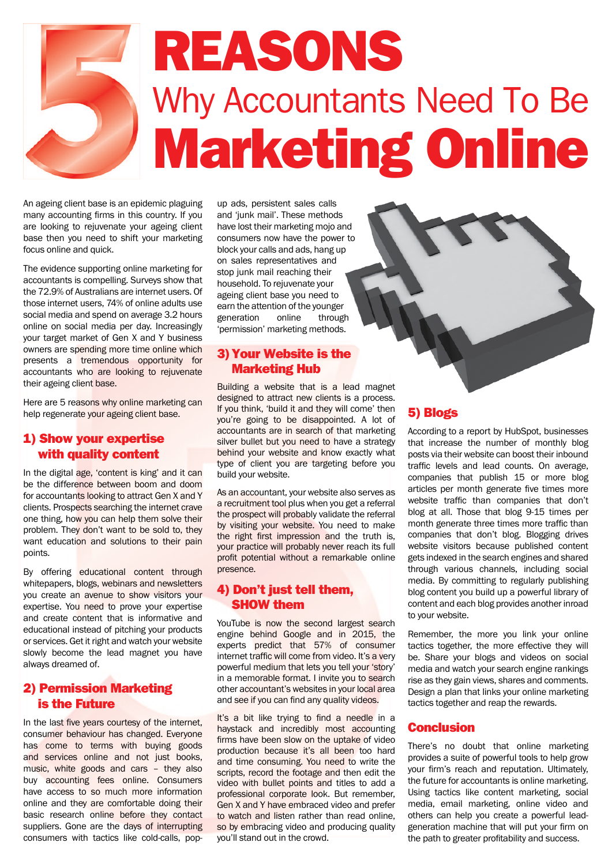

An ageing client base is an epidemic plaguing many accounting firms in this country. If you are looking to rejuvenate your ageing client base then you need to shift your marketing focus online and quick.

The evidence supporting online marketing for accountants is compelling. Surveys show that the 72.9% of Australians are internet users. Of those internet users, 74% of online adults use social media and spend on average 3.2 hours online on social media per day. Increasingly your target market of Gen X and Y business owners are spending more time online which presents a tremendous opportunity for accountants who are looking to rejuvenate their ageing client base.

Here are 5 reasons why online marketing can help regenerate your ageing client base.

#### 1) Show your expertise with quality content

In the digital age, 'content is king' and it can be the difference between boom and doom for accountants looking to attract Gen X and Y clients. Prospects searching the internet crave one thing, how you can help them solve their problem. They don't want to be sold to, they want education and solutions to their pain points.

By offering educational content through whitepapers, blogs, webinars and newsletters you create an avenue to show visitors your expertise. You need to prove your expertise and create content that is informative and educational instead of pitching your products or services. Get it right and watch your website slowly become the lead magnet you have always dreamed of.

#### 2) Permission Marketing is the Future

In the last five years courtesy of the internet, consumer behaviour has changed. Everyone has come to terms with buying goods and services online and not just books, music, white goods and cars – they also buy accounting fees online. Consumers have access to so much more information online and they are comfortable doing their basic research online before they contact suppliers. Gone are the days of interrupting consumers with tactics like cold-calls, pop-

up ads, persistent sales calls and 'junk mail'. These methods have lost their marketing mojo and consumers now have the power to block your calls and ads, hang up on sales representatives and stop junk mail reaching their household. To rejuvenate your ageing client base you need to earn the attention of the younger generation online through 'permission' marketing methods.

#### 3)Your Website is the Marketing Hub

Building a website that is a lead magnet designed to attract new clients is a process. If you think, 'build it and they will come' then you're going to be disappointed. A lot of accountants are in search of that marketing silver bullet but you need to have a strategy behind your website and know exactly what type of client you are targeting before you build your website.

As an accountant, your website also serves as a recruitment tool plus when you get a referral the prospect will probably validate the referral by visiting your website. You need to make the right first impression and the truth is, your practice will probably never reach its full profit potential without a remarkable online presence.

#### 4) Don't just tell them, SHOW them

YouTube is now the second largest search engine behind Google and in 2015, the experts predict that 57% of consumer internet traffic will come from video. It's a very powerful medium that lets you tell your 'story' in a memorable format. I invite you to search other accountant's websites in your local area and see if you can find any quality videos.

It's a bit like trying to find a needle in a haystack and incredibly most accounting firms have been slow on the uptake of video production because it's all been too hard and time consuming. You need to write the scripts, record the footage and then edit the video with bullet points and titles to add a professional corporate look. But remember, Gen X and Y have embraced video and prefer to watch and listen rather than read online, so by embracing video and producing quality you'll stand out in the crowd.

#### 5) Blogs

According to a report by HubSpot, businesses that increase the number of monthly blog posts via their website can boost their inbound traffic levels and lead counts. On average, companies that publish 15 or more blog articles per month generate five times more website traffic than companies that don't blog at all. Those that blog 9-15 times per month generate three times more traffic than companies that don't blog. Blogging drives website visitors because published content gets indexed in the search engines and shared through various channels, including social media. By committing to regularly publishing blog content you build up a powerful library of content and each blog provides another inroad to your website.

Remember, the more you link your online tactics together, the more effective they will be. Share your blogs and videos on social media and watch your search engine rankings rise as they gain views, shares and comments. Design a plan that links your online marketing tactics together and reap the rewards.

#### **Conclusion**

There's no doubt that online marketing provides a suite of powerful tools to help grow your firm's reach and reputation. Ultimately, the future for accountants is online marketing. Using tactics like content marketing, social media, email marketing, online video and others can help you create a powerful leadgeneration machine that will put your firm on the path to greater profitability and success.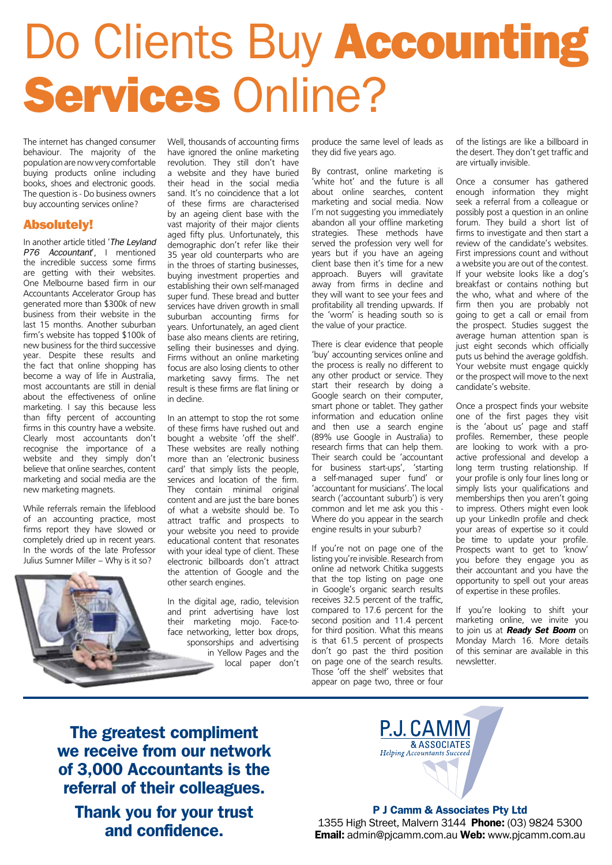# Do Clients Buy Accounting Services Online?

The internet has changed consumer behaviour. The majority of the population are now very comfortable buying products online including books, shoes and electronic goods. The question is - Do business owners buy accounting services online?

#### Absolutely!

In another article titled '*The Leyland P76 Accountant*', I mentioned the incredible success some firms are getting with their websites. One Melbourne based firm in our Accountants Accelerator Group has generated more than \$300k of new business from their website in the last 15 months. Another suburban firm's website has topped \$100k of new business for the third successive year. Despite these results and the fact that online shopping has become a way of life in Australia, most accountants are still in denial about the effectiveness of online marketing. I say this because less than fifty percent of accounting firms in this country have a website. Clearly most accountants don't recognise the importance of a website and they simply don't believe that online searches, content marketing and social media are the new marketing magnets.

While referrals remain the lifeblood of an accounting practice, most firms report they have slowed or completely dried up in recent years. In the words of the late Professor Julius Sumner Miller – Why is it so?

Well, thousands of accounting firms have ignored the online marketing revolution. They still don't have a website and they have buried their head in the social media sand. It's no coincidence that a lot of these firms are characterised by an ageing client base with the vast majority of their major clients aged fifty plus. Unfortunately, this demographic don't refer like their 35 year old counterparts who are in the throes of starting businesses, buying investment properties and establishing their own self-managed super fund. These bread and butter services have driven growth in small suburban accounting firms for years. Unfortunately, an aged client base also means clients are retiring, selling their businesses and dying. Firms without an online marketing focus are also losing clients to other marketing savvy firms. The net result is these firms are flat lining or in decline.

In an attempt to stop the rot some of these firms have rushed out and bought a website 'off the shelf'. These websites are really nothing more than an 'electronic business card' that simply lists the people, services and location of the firm. They contain minimal original content and are just the bare bones of what a website should be. To attract traffic and prospects to your website you need to provide educational content that resonates with your ideal type of client. These electronic billboards don't attract the attention of Google and the other search engines.

In the digital age, radio, television and print advertising have lost their marketing mojo. Face-toface networking, letter box drops, sponsorships and advertising in Yellow Pages and the local paper don't

produce the same level of leads as they did five years ago.

By contrast, online marketing is 'white hot' and the future is all about online searches, content marketing and social media. Now I'm not suggesting you immediately abandon all your offline marketing strategies. These methods have served the profession very well for years but if you have an ageing client base then it's time for a new approach. Buyers will gravitate away from firms in decline and they will want to see your fees and profitability all trending upwards. If the 'worm' is heading south so is the value of your practice.

There is clear evidence that people 'buy' accounting services online and the process is really no different to any other product or service. They start their research by doing a Google search on their computer, smart phone or tablet. They gather information and education online and then use a search engine (89% use Google in Australia) to research firms that can help them. Their search could be 'accountant for business start-ups', 'starting a self-managed super fund' or 'accountant for musicians'. The local search ('accountant suburb') is very common and let me ask you this - Where do you appear in the search engine results in your suburb?

If you're not on page one of the listing you're invisible. Research from online ad network Chitika suggests that the top listing on page one in Google's organic search results receives 32.5 percent of the traffic, compared to 17.6 percent for the second position and 11.4 percent for third position. What this means is that 61.5 percent of prospects don't go past the third position on page one of the search results. Those 'off the shelf' websites that appear on page two, three or four

of the listings are like a billboard in the desert. They don't get traffic and are virtually invisible.

Once a consumer has gathered enough information they might seek a referral from a colleague or possibly post a question in an online forum. They build a short list of firms to investigate and then start a review of the candidate's websites. First impressions count and without a website you are out of the contest. If your website looks like a dog's breakfast or contains nothing but the who, what and where of the firm then you are probably not going to get a call or email from the prospect. Studies suggest the average human attention span is just eight seconds which officially puts us behind the average goldfish. Your website must engage quickly or the prospect will move to the next candidate's website.

Once a prospect finds your website one of the first pages they visit is the 'about us' page and staff profiles. Remember, these people are looking to work with a proactive professional and develop a long term trusting relationship. If your profile is only four lines long or simply lists your qualifications and memberships then you aren't going to impress. Others might even look up your LinkedIn profile and check your areas of expertise so it could be time to update your profile. Prospects want to get to 'know' you before they engage you as their accountant and you have the opportunity to spell out your areas of expertise in these profiles.

If you're looking to shift your marketing online, we invite you to join us at *Ready Set Boom* on Monday March 16. More details of this seminar are available in this newsletter.

**The greatest compliment we receive from our network of 3,000 Accountants is the referral of their colleagues.** 

**Thank you for your trust and confidence.**



**P J Camm & Associates Pty Ltd** 1355 High Street, Malvern 3144 **Phone:** (03) 9824 5300 **Email:** admin@pjcamm.com.au **Web:** www.pjcamm.com.au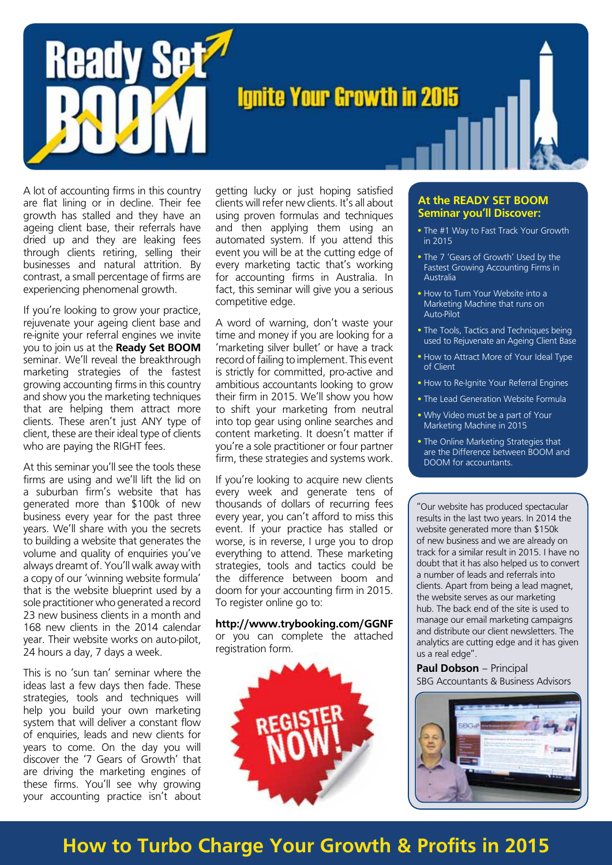

A lot of accounting firms in this country are flat lining or in decline. Their fee growth has stalled and they have an ageing client base, their referrals have dried up and they are leaking fees through clients retiring, selling their businesses and natural attrition. By contrast, a small percentage of firms are experiencing phenomenal growth.

If you're looking to grow your practice, rejuvenate your ageing client base and re-ignite your referral engines we invite you to join us at the **Ready Set BOOM** seminar. We'll reveal the breakthrough marketing strategies of the fastest growing accounting firms in this country and show you the marketing techniques that are helping them attract more clients. These aren't just ANY type of client, these are their ideal type of clients who are paying the RIGHT fees.

At this seminar you'll see the tools these firms are using and we'll lift the lid on a suburban firm's website that has generated more than \$100k of new business every year for the past three years. We'll share with you the secrets to building a website that generates the volume and quality of enquiries you've always dreamt of. You'll walk away with a copy of our 'winning website formula' that is the website blueprint used by a sole practitioner who generated a record 23 new business clients in a month and 168 new clients in the 2014 calendar year. Their website works on auto-pilot, 24 hours a day, 7 days a week.

This is no 'sun tan' seminar where the ideas last a few days then fade. These strategies, tools and techniques will help you build your own marketing system that will deliver a constant flow of enquiries, leads and new clients for years to come. On the day you will discover the '7 Gears of Growth' that are driving the marketing engines of these firms. You'll see why growing your accounting practice isn't about

getting lucky or just hoping satisfied clients will refer new clients. It's all about using proven formulas and techniques and then applying them using an automated system. If you attend this event you will be at the cutting edge of every marketing tactic that's working for accounting firms in Australia. In fact, this seminar will give you a serious competitive edge.

A word of warning, don't waste your time and money if you are looking for a 'marketing silver bullet' or have a track record of failing to implement. This event is strictly for committed, pro-active and ambitious accountants looking to grow their firm in 2015. We'll show you how to shift your marketing from neutral into top gear using online searches and content marketing. It doesn't matter if you're a sole practitioner or four partner firm, these strategies and systems work.

If you're looking to acquire new clients every week and generate tens of thousands of dollars of recurring fees every year, you can't afford to miss this event. If your practice has stalled or worse, is in reverse, I urge you to drop everything to attend. These marketing strategies, tools and tactics could be the difference between boom and doom for your accounting firm in 2015. To register online go to:

**http://www.trybooking.com/GGNF** or you can complete the attached registration form.



#### **At the READY SET BOOM Seminar you'll Discover:**

- The #1 Way to Fast Track Your Growth in 2015
- The 7 'Gears of Growth' Used by the Fastest Growing Accounting Firms in Australia
- How to Turn Your Website into a Marketing Machine that runs on Auto-Pilot
- The Tools, Tactics and Techniques being used to Rejuvenate an Ageing Client Base
- How to Attract More of Your Ideal Type of Client
- How to Re-Ignite Your Referral Engines
- The Lead Generation Website Formula
- Why Video must be a part of Your Marketing Machine in 2015
- . The Online Marketing Strategies that are the Difference between BOOM and DOOM for accountants.

"Our website has produced spectacular results in the last two years. In 2014 the website generated more than \$150k of new business and we are already on track for a similar result in 2015. I have no doubt that it has also helped us to convert a number of leads and referrals into clients. Apart from being a lead magnet, the website serves as our marketing hub. The back end of the site is used to manage our email marketing campaigns and distribute our client newsletters. The analytics are cutting edge and it has given us a real edge".

**Paul Dobson** – Principal SBG Accountants & Business Advisors



## **How to Turbo Charge Your Growth & Profits in 2015**